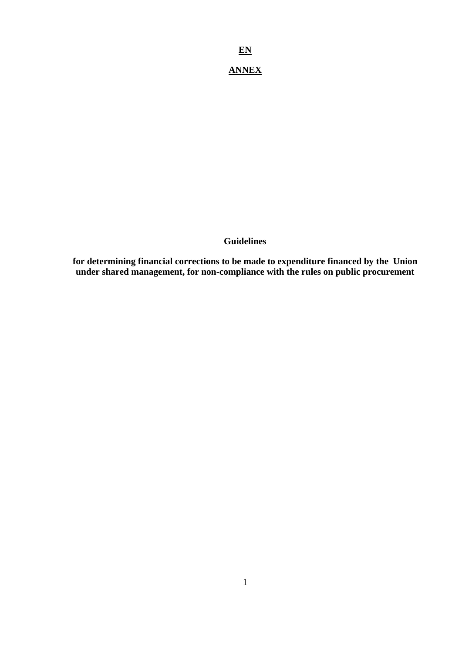**EN**

# **ANNEX**

### **Guidelines**

**for determining financial corrections to be made to expenditure financed by the Union under shared management, for non-compliance with the rules on public procurement**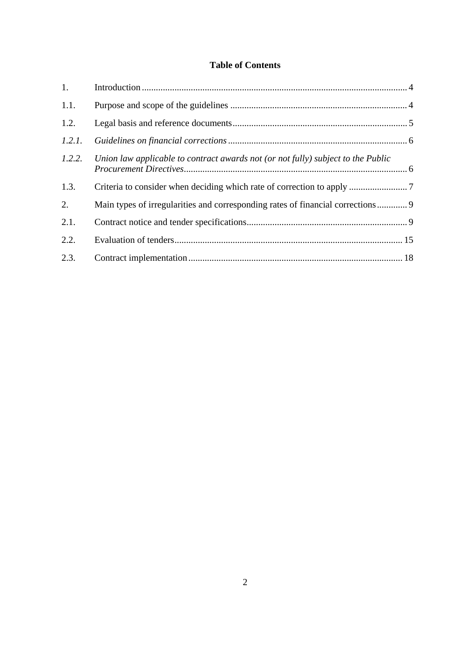## **Table of Contents**

| 1.     |                                                                                  |  |
|--------|----------------------------------------------------------------------------------|--|
| 1.1.   |                                                                                  |  |
| 1.2.   |                                                                                  |  |
| 1.2.1. |                                                                                  |  |
| 1.2.2. | Union law applicable to contract awards not (or not fully) subject to the Public |  |
| 1.3.   |                                                                                  |  |
| 2.     | Main types of irregularities and corresponding rates of financial corrections 9  |  |
| 2.1.   |                                                                                  |  |
| 2.2.   |                                                                                  |  |
| 2.3.   |                                                                                  |  |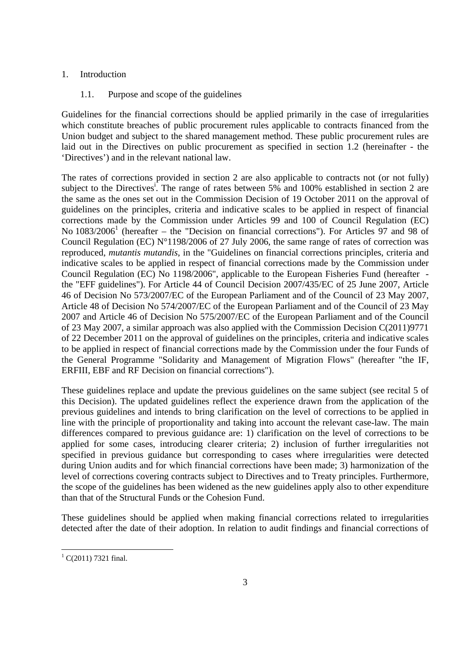### <span id="page-2-1"></span><span id="page-2-0"></span>1. Introduction

### 1.1. Purpose and scope of the guidelines

Guidelines for the financial corrections should be applied primarily in the case of irregularities which constitute breaches of public procurement rules applicable to contracts financed from the Union budget and subject to the shared management method. These public procurement rules are laid out in the Directives on public procurement as specified in section 1.2 (hereinafter - the 'Directives') and in the relevant national law.

The rates of corrections provided in section 2 are also applicable to contracts not (or not fully) subject to the Directives<sup>1</sup>. The range of rates between 5% and 100% established in section 2 are the same as the ones set out in the Commission Decision of 19 October 2011 on the approval of guidelines on the principles, criteria and indicative scales to be applied in respect of financial corrections made by the Commission under Articles 99 and 100 of Council Regulation (EC) No 1083/2006<sup>1</sup> (hereafter – the "Decision on financial corrections"). For Articles 97 and 98 of Council Regulation (EC)  $N^{\circ}1198/2006$  of 27 July 2006, the same range of rates of correction was reproduced, *mutantis mutandis*, in the "Guidelines on financial corrections principles, criteria and indicative scales to be applied in respect of financial corrections made by the Commission under Council Regulation (EC) No 1198/2006", applicable to the European Fisheries Fund (hereafter the "EFF guidelines"). For Article 44 of Council Decision 2007/435/EC of 25 June 2007, Article 46 of Decision No 573/2007/EC of the European Parliament and of the Council of 23 May 2007, Article 48 of Decision No 574/2007/EC of the European Parliament and of the Council of 23 May 2007 and Article 46 of Decision No 575/2007/EC of the European Parliament and of the Council of 23 May 2007, a similar approach was also applied with the Commission Decision C(2011)9771 of 22 December 2011 on the approval of guidelines on the principles, criteria and indicative scales to be applied in respect of financial corrections made by the Commission under the four Funds of the General Programme "Solidarity and Management of Migration Flows" (hereafter "the IF, ERFIII, EBF and RF Decision on financial corrections").

These guidelines replace and update the previous guidelines on the same subject (see recital 5 of this Decision). The updated guidelines reflect the experience drawn from the application of the previous guidelines and intends to bring clarification on the level of corrections to be applied in line with the principle of proportionality and taking into account the relevant case-law. The main differences compared to previous guidance are: 1) clarification on the level of corrections to be applied for some cases, introducing clearer criteria; 2) inclusion of further irregularities not specified in previous guidance but corresponding to cases where irregularities were detected during Union audits and for which financial corrections have been made; 3) harmonization of the level of corrections covering contracts subject to Directives and to Treaty principles. Furthermore, the scope of the guidelines has been widened as the new guidelines apply also to other expenditure than that of the Structural Funds or the Cohesion Fund.

These guidelines should be applied when making financial corrections related to irregularities detected after the date of their adoption. In relation to audit findings and financial corrections of

 $\overline{a}$ 

 $^{1}$  C(2011) 7321 final.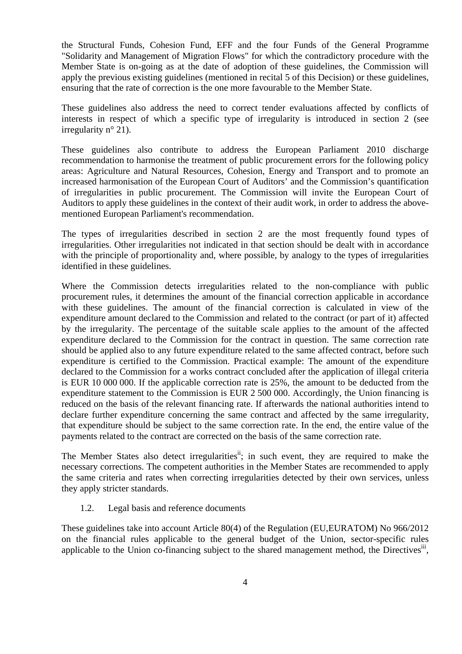the Structural Funds, Cohesion Fund, EFF and the four Funds of the General Programme "Solidarity and Management of Migration Flows" for which the contradictory procedure with the Member State is on-going as at the date of adoption of these guidelines, the Commission will apply the previous existing guidelines (mentioned in recital 5 of this Decision) or these guidelines, ensuring that the rate of correction is the one more favourable to the Member State.

These guidelines also address the need to correct tender evaluations affected by conflicts of interests in respect of which a specific type of irregularity is introduced in section 2 (see irregularity n° 21).

These guidelines also contribute to address the European Parliament 2010 discharge recommendation to harmonise the treatment of public procurement errors for the following policy areas: Agriculture and Natural Resources, Cohesion, Energy and Transport and to promote an increased harmonisation of the European Court of Auditors' and the Commission's quantification of irregularities in public procurement. The Commission will invite the European Court of Auditors to apply these guidelines in the context of their audit work, in order to address the abovementioned European Parliament's recommendation.

The types of irregularities described in section 2 are the most frequently found types of irregularities. Other irregularities not indicated in that section should be dealt with in accordance with the principle of proportionality and, where possible, by analogy to the types of irregularities identified in these guidelines.

Where the Commission detects irregularities related to the non-compliance with public procurement rules, it determines the amount of the financial correction applicable in accordance with these guidelines. The amount of the financial correction is calculated in view of the expenditure amount declared to the Commission and related to the contract (or part of it) affected by the irregularity. The percentage of the suitable scale applies to the amount of the affected expenditure declared to the Commission for the contract in question. The same correction rate should be applied also to any future expenditure related to the same affected contract, before such expenditure is certified to the Commission. Practical example: The amount of the expenditure declared to the Commission for a works contract concluded after the application of illegal criteria is EUR 10 000 000. If the applicable correction rate is 25%, the amount to be deducted from the expenditure statement to the Commission is EUR 2 500 000. Accordingly, the Union financing is reduced on the basis of the relevant financing rate. If afterwards the national authorities intend to declare further expenditure concerning the same contract and affected by the same irregularity, that expenditure should be subject to the same correction rate. In the end, the entire value of the payments related to the contract are corrected on the basis of the same correction rate.

The Member States also detect irregularities<sup>ii</sup>; in such event, they are required to make the necessary corrections. The competent authorities in the Member States are recommended to apply the same criteria and rates when correcting irregularities detected by their own services, unless they apply stricter standards.

#### 1.2. Legal basis and reference documents

<span id="page-3-0"></span>These guidelines take into account Article 80(4) of the Regulation (EU,EURATOM) No 966/2012 on the financial rules applicable to the general budget of the Union, sector-specific rules applicable to the Union co-financing subject to the shared management method, the Directives<sup>iii</sup>,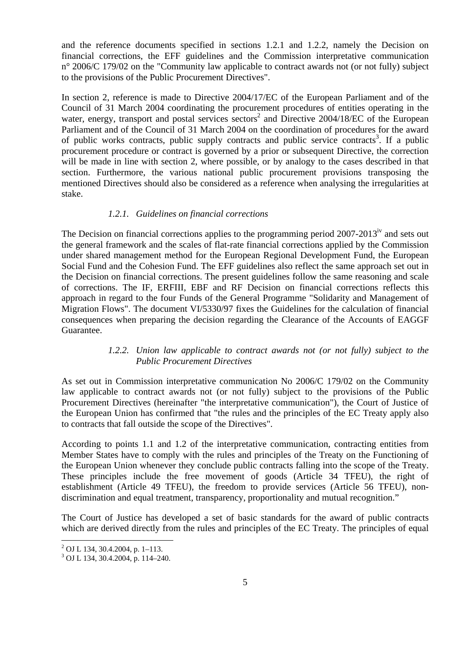and the reference documents specified in sections 1.2.1 and 1.2.2, namely the Decision on financial corrections, the EFF guidelines and the Commission interpretative communication n° 2006/C 179/02 on the "Community law applicable to contract awards not (or not fully) subject to the provisions of the Public Procurement Directives".

In section 2, reference is made to Directive 2004/17/EC of the European Parliament and of the Council of 31 March 2004 coordinating the procurement procedures of entities operating in the water, energy, transport and postal services sectors<sup>2</sup> and Directive 2004/18/EC of the European Parliament and of the Council of 31 March 2004 on the coordination of procedures for the award of public works contracts, public supply contracts and public service contracts<sup>3</sup>. If a public procurement procedure or contract is governed by a prior or subsequent Directive, the correction will be made in line with section 2, where possible, or by analogy to the cases described in that section. Furthermore, the various national public procurement provisions transposing the mentioned Directives should also be considered as a reference when analysing the irregularities at stake.

#### *1.2.1. Guidelines on financial corrections*

<span id="page-4-0"></span>The Decision on financial corrections applies to the programming period  $2007-2013<sup>iv</sup>$  and sets out the general framework and the scales of flat-rate financial corrections applied by the Commission under shared management method for the European Regional Development Fund, the European Social Fund and the Cohesion Fund. The EFF guidelines also reflect the same approach set out in the Decision on financial corrections. The present guidelines follow the same reasoning and scale of corrections. The IF, ERFIII, EBF and RF Decision on financial corrections reflects this approach in regard to the four Funds of the General Programme "Solidarity and Management of Migration Flows". The document VI/5330/97 fixes the Guidelines for the calculation of financial consequences when preparing the decision regarding the Clearance of the Accounts of EAGGF Guarantee.

#### *1.2.2. Union law applicable to contract awards not (or not fully) subject to the Public Procurement Directives*

<span id="page-4-1"></span>As set out in Commission interpretative communication No 2006/C 179/02 on the Community law applicable to contract awards not (or not fully) subject to the provisions of the Public Procurement Directives (hereinafter "the interpretative communication"), the Court of Justice of the European Union has confirmed that "the rules and the principles of the EC Treaty apply also to contracts that fall outside the scope of the Directives".

According to points 1.1 and 1.2 of the interpretative communication, contracting entities from Member States have to comply with the rules and principles of the Treaty on the Functioning of the European Union whenever they conclude public contracts falling into the scope of the Treaty. These principles include the free movement of goods (Article 34 TFEU), the right of establishment (Article 49 TFEU), the freedom to provide services (Article 56 TFEU), nondiscrimination and equal treatment, transparency, proportionality and mutual recognition."

The Court of Justice has developed a set of basic standards for the award of public contracts which are derived directly from the rules and principles of the EC Treaty. The principles of equal

 2 OJ L 134, 30.4.2004, p. 1–113.

<sup>3</sup> OJ L 134, 30.4.2004, p. 114–240.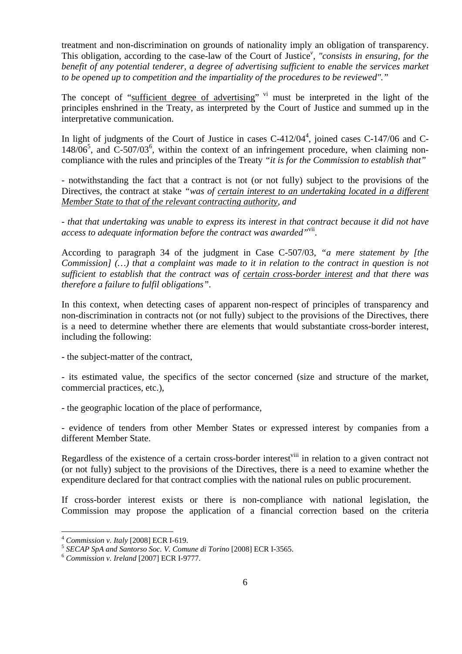treatment and non-discrimination on grounds of nationality imply an obligation of transparency. This obligation, according to the case-law of the Court of Justice*<sup>v</sup> , "consists in ensuring, for the benefit of any potential tenderer, a degree of advertising sufficient to enable the services market to be opened up to competition and the impartiality of the procedures to be reviewed"."* 

The concept of "sufficient degree of advertising" <sup>vi</sup> must be interpreted in the light of the principles enshrined in the Treaty, as interpreted by the Court of Justice and summed up in the interpretative communication.

In light of judgments of the Court of Justice in cases  $C-412/04<sup>4</sup>$ , joined cases  $C-147/06$  and  $C-$ 148/06<sup>5</sup>, and C-507/03<sup>6</sup>, within the context of an infringement procedure, when claiming noncompliance with the rules and principles of the Treaty *"it is for the Commission to establish that"* 

*-* notwithstanding the fact that a contract is not (or not fully) subject to the provisions of the Directives, the contract at stake *"was of certain interest to an undertaking located in a different Member State to that of the relevant contracting authority, and* 

*- that that undertaking was unable to express its interest in that contract because it did not have access to adequate information before the contract was awarded"*vii.

According to paragraph 34 of the judgment in Case C-507/03, *"a mere statement by [the Commission] (…) that a complaint was made to it in relation to the contract in question is not sufficient to establish that the contract was of certain cross-border interest and that there was therefore a failure to fulfil obligations"*.

In this context, when detecting cases of apparent non-respect of principles of transparency and non-discrimination in contracts not (or not fully) subject to the provisions of the Directives, there is a need to determine whether there are elements that would substantiate cross-border interest, including the following:

- the subject-matter of the contract,

- its estimated value, the specifics of the sector concerned (size and structure of the market, commercial practices, etc.),

- the geographic location of the place of performance,

- evidence of tenders from other Member States or expressed interest by companies from a different Member State.

Regardless of the existence of a certain cross-border interest<sup>viii</sup> in relation to a given contract not (or not fully) subject to the provisions of the Directives, there is a need to examine whether the expenditure declared for that contract complies with the national rules on public procurement.

If cross-border interest exists or there is non-compliance with national legislation, the Commission may propose the application of a financial correction based on the criteria

 $\overline{a}$ 

<sup>&</sup>lt;sup>4</sup> *Commission v. Italy* [2008] ECR I-619.<br><sup>5</sup> *SECAP SpA and Santorso Soc. V. Comune di Torino* [2008] ECR I-3565.<br><sup>6</sup> *Commission v. Ireland* [2007] ECR I-9777.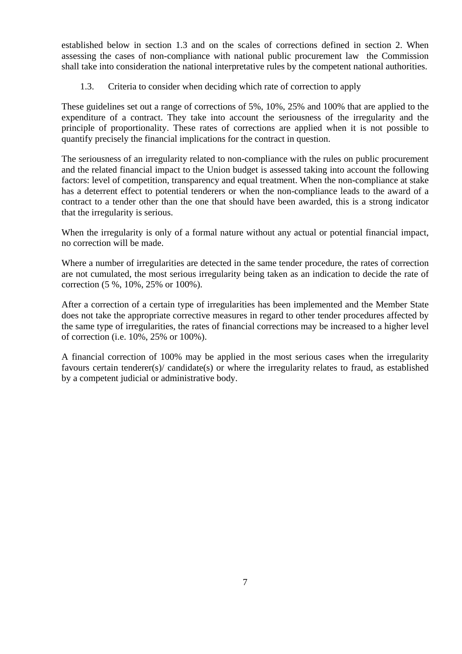established below in section 1.3 and on the scales of corrections defined in section 2. When assessing the cases of non-compliance with national public procurement law the Commission shall take into consideration the national interpretative rules by the competent national authorities.

1.3. Criteria to consider when deciding which rate of correction to apply

<span id="page-6-0"></span>These guidelines set out a range of corrections of 5%, 10%, 25% and 100% that are applied to the expenditure of a contract. They take into account the seriousness of the irregularity and the principle of proportionality. These rates of corrections are applied when it is not possible to quantify precisely the financial implications for the contract in question.

The seriousness of an irregularity related to non-compliance with the rules on public procurement and the related financial impact to the Union budget is assessed taking into account the following factors: level of competition, transparency and equal treatment. When the non-compliance at stake has a deterrent effect to potential tenderers or when the non-compliance leads to the award of a contract to a tender other than the one that should have been awarded, this is a strong indicator that the irregularity is serious.

When the irregularity is only of a formal nature without any actual or potential financial impact, no correction will be made.

Where a number of irregularities are detected in the same tender procedure, the rates of correction are not cumulated, the most serious irregularity being taken as an indication to decide the rate of correction (5 %, 10%, 25% or 100%).

After a correction of a certain type of irregularities has been implemented and the Member State does not take the appropriate corrective measures in regard to other tender procedures affected by the same type of irregularities, the rates of financial corrections may be increased to a higher level of correction (i.e. 10%, 25% or 100%).

A financial correction of 100% may be applied in the most serious cases when the irregularity favours certain tenderer(s)/ candidate(s) or where the irregularity relates to fraud, as established by a competent judicial or administrative body.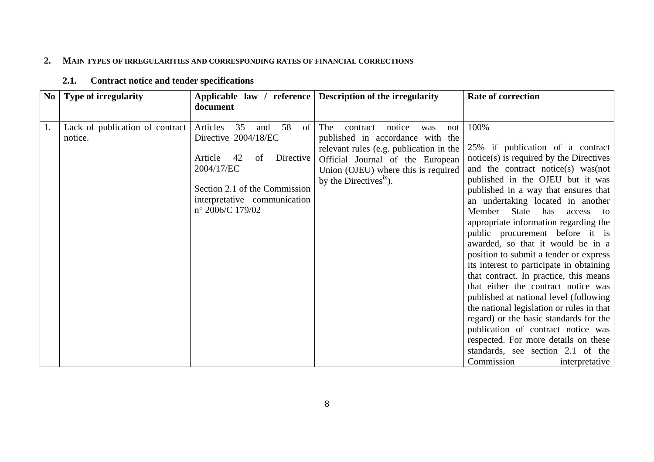#### **2.MAIN TYPES OF IRREGULARITIES AND CORRESPONDING RATES OF FINANCIAL CORRECTIONS**

<span id="page-7-1"></span><span id="page-7-0"></span>

| N <sub>0</sub> | Type of irregularity                       |                                                                                                                                                                                                           | Applicable law / reference Description of the irregularity                                                                                                                                                                      | <b>Rate of correction</b>                                                                                                                                                                                                                                                                                                                                                                                                                                                                                                                                                                                                                                                                                                                                                                                                                                       |
|----------------|--------------------------------------------|-----------------------------------------------------------------------------------------------------------------------------------------------------------------------------------------------------------|---------------------------------------------------------------------------------------------------------------------------------------------------------------------------------------------------------------------------------|-----------------------------------------------------------------------------------------------------------------------------------------------------------------------------------------------------------------------------------------------------------------------------------------------------------------------------------------------------------------------------------------------------------------------------------------------------------------------------------------------------------------------------------------------------------------------------------------------------------------------------------------------------------------------------------------------------------------------------------------------------------------------------------------------------------------------------------------------------------------|
|                |                                            | document                                                                                                                                                                                                  |                                                                                                                                                                                                                                 |                                                                                                                                                                                                                                                                                                                                                                                                                                                                                                                                                                                                                                                                                                                                                                                                                                                                 |
| 1.             | Lack of publication of contract<br>notice. | Articles<br>58<br>35<br>$\circ$ f<br>and<br>Directive 2004/18/EC<br>Article<br>42<br>Directive  <br>of<br>2004/17/EC<br>Section 2.1 of the Commission<br>interpretative communication<br>n° 2006/C 179/02 | The<br>notice<br>contract<br>not<br>was<br>published in accordance with the<br>relevant rules (e.g. publication in the<br>Official Journal of the European<br>Union (OJEU) where this is required<br>by the Directives $xix$ ). | 100%<br>25% if publication of a contract<br>notice(s) is required by the Directives<br>and the contract notice(s) was (not<br>published in the OJEU but it was<br>published in a way that ensures that<br>an undertaking located in another<br>Member<br>State<br>has<br>access to<br>appropriate information regarding the<br>public procurement before it is<br>awarded, so that it would be in a<br>position to submit a tender or express<br>its interest to participate in obtaining<br>that contract. In practice, this means<br>that either the contract notice was<br>published at national level (following)<br>the national legislation or rules in that<br>regard) or the basic standards for the<br>publication of contract notice was<br>respected. For more details on these<br>standards, see section 2.1 of the<br>Commission<br>interpretative |

#### **2.1.Contract notice and tender specifications**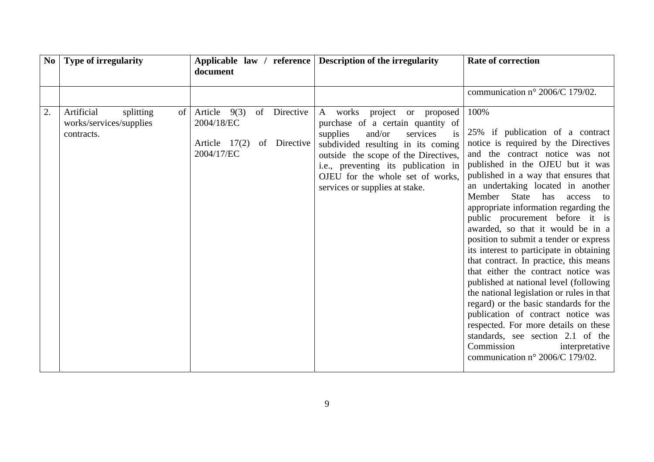|    | No   Type of irregularity                                              | document                                                                                    | Applicable law / reference Description of the irregularity                                                                                                                                                                                                                                           | <b>Rate of correction</b>                                                                                                                                                                                                                                                                                                                                                                                                                                                                                                                                                                                                                                                                                                                                                                                                                                                                     |
|----|------------------------------------------------------------------------|---------------------------------------------------------------------------------------------|------------------------------------------------------------------------------------------------------------------------------------------------------------------------------------------------------------------------------------------------------------------------------------------------------|-----------------------------------------------------------------------------------------------------------------------------------------------------------------------------------------------------------------------------------------------------------------------------------------------------------------------------------------------------------------------------------------------------------------------------------------------------------------------------------------------------------------------------------------------------------------------------------------------------------------------------------------------------------------------------------------------------------------------------------------------------------------------------------------------------------------------------------------------------------------------------------------------|
|    |                                                                        |                                                                                             |                                                                                                                                                                                                                                                                                                      | communication n° 2006/C 179/02.                                                                                                                                                                                                                                                                                                                                                                                                                                                                                                                                                                                                                                                                                                                                                                                                                                                               |
| 2. | Artificial<br>splitting<br>of<br>works/services/supplies<br>contracts. | Article $9(3)$<br>of<br>Directive<br>2004/18/EC<br>Article 17(2) of Directive<br>2004/17/EC | A works project or proposed<br>purchase of a certain quantity of<br>and/or<br>services<br>supplies<br>is.<br>subdivided resulting in its coming<br>outside the scope of the Directives,<br>i.e., preventing its publication in<br>OJEU for the whole set of works,<br>services or supplies at stake. | 100%<br>25% if publication of a contract<br>notice is required by the Directives<br>and the contract notice was not<br>published in the OJEU but it was<br>published in a way that ensures that<br>an undertaking located in another<br>State<br>Member<br>has<br>access<br>to<br>appropriate information regarding the<br>public procurement before it is<br>awarded, so that it would be in a<br>position to submit a tender or express<br>its interest to participate in obtaining<br>that contract. In practice, this means<br>that either the contract notice was<br>published at national level (following<br>the national legislation or rules in that<br>regard) or the basic standards for the<br>publication of contract notice was<br>respected. For more details on these<br>standards, see section 2.1 of the<br>Commission<br>interpretative<br>communication n° 2006/C 179/02. |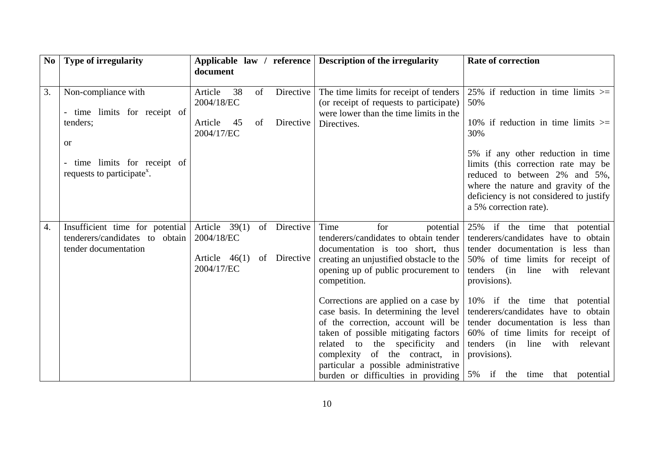| N <sub>0</sub> | Type of irregularity                                                                                                                               | document                                                                                           | Applicable law / reference   Description of the irregularity                                                                                                                                                                                                                                                                                                                                                                                                                                                                      | <b>Rate of correction</b>                                                                                                                                                                                                                                                                                                                                                                                                                                    |
|----------------|----------------------------------------------------------------------------------------------------------------------------------------------------|----------------------------------------------------------------------------------------------------|-----------------------------------------------------------------------------------------------------------------------------------------------------------------------------------------------------------------------------------------------------------------------------------------------------------------------------------------------------------------------------------------------------------------------------------------------------------------------------------------------------------------------------------|--------------------------------------------------------------------------------------------------------------------------------------------------------------------------------------------------------------------------------------------------------------------------------------------------------------------------------------------------------------------------------------------------------------------------------------------------------------|
| 3.             | Non-compliance with<br>time limits for receipt of<br>tenders;<br><b>or</b><br>time limits for receipt of<br>requests to participate <sup>x</sup> . | 38<br>Article<br>of<br>Directive  <br>2004/18/EC<br>Article<br>Directive<br>45<br>of<br>2004/17/EC | The time limits for receipt of tenders<br>(or receipt of requests to participate)<br>were lower than the time limits in the<br>Directives.                                                                                                                                                                                                                                                                                                                                                                                        | 25% if reduction in time limits $\ge$ =<br>50%<br>10% if reduction in time limits $\geq$<br>30%<br>5% if any other reduction in time<br>limits (this correction rate may be<br>reduced to between 2% and 5%,<br>where the nature and gravity of the<br>deficiency is not considered to justify<br>a 5% correction rate).                                                                                                                                     |
| 4.             | Insufficient time for potential $\text{Article } 39(1)$<br>tenderers/candidates to obtain<br>tender documentation                                  | of<br>Directive<br>2004/18/EC<br>Directive<br>Article $46(1)$<br>of<br>2004/17/EC                  | Time<br>for<br>potential<br>tenderers/candidates to obtain tender<br>documentation is too short, thus<br>creating an unjustified obstacle to the<br>opening up of public procurement to<br>competition.<br>Corrections are applied on a case by<br>case basis. In determining the level<br>of the correction, account will be<br>taken of possible mitigating factors<br>related to<br>the specificity<br>and<br>of the contract, in<br>complexity<br>particular a possible administrative<br>burden or difficulties in providing | 25% if the time that potential<br>tenderers/candidates have to obtain<br>tender documentation is less than<br>50% of time limits for receipt of<br>tenders<br>line<br>with relevant<br>(in<br>provisions).<br>10% if the time that potential<br>tenderers/candidates have to obtain<br>tender documentation is less than<br>60% of time limits for receipt of<br>tenders<br>line<br>with<br>(in<br>relevant<br>provisions).<br>5% if the time that potential |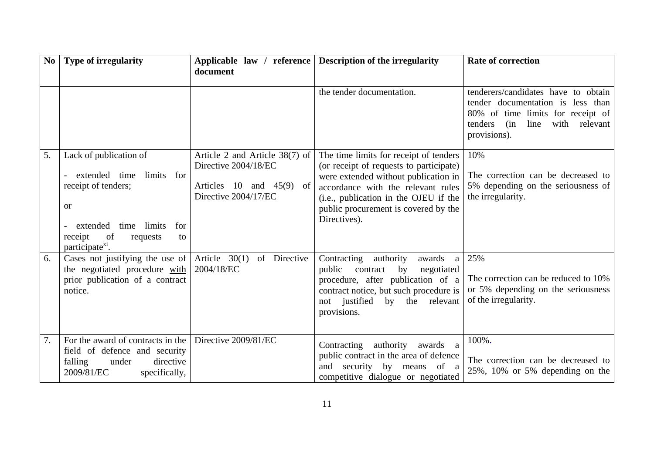| N <sub>0</sub> | Type of irregularity                                                                                                                                                                       | document                                                                                                       | Applicable law / reference Description of the irregularity                                                                                                                                                                                                       | <b>Rate of correction</b>                                                                                                                                                |
|----------------|--------------------------------------------------------------------------------------------------------------------------------------------------------------------------------------------|----------------------------------------------------------------------------------------------------------------|------------------------------------------------------------------------------------------------------------------------------------------------------------------------------------------------------------------------------------------------------------------|--------------------------------------------------------------------------------------------------------------------------------------------------------------------------|
|                |                                                                                                                                                                                            |                                                                                                                | the tender documentation.                                                                                                                                                                                                                                        | tenderers/candidates have to obtain<br>tender documentation is less than<br>80% of time limits for receipt of<br>with relevant<br>(in<br>line<br>tenders<br>provisions). |
| 5.             | Lack of publication of<br>extended time<br>limits for<br>receipt of tenders;<br><b>or</b><br>extended time limits<br>for<br>of<br>receipt<br>requests<br>to<br>participate <sup>x1</sup> . | Article 2 and Article $38(7)$ of<br>Directive 2004/18/EC<br>Articles 10 and $45(9)$ of<br>Directive 2004/17/EC | The time limits for receipt of tenders<br>(or receipt of requests to participate)<br>were extended without publication in<br>accordance with the relevant rules<br>(i.e., publication in the OJEU if the<br>public procurement is covered by the<br>Directives). | 10%<br>The correction can be decreased to<br>5% depending on the seriousness of<br>the irregularity.                                                                     |
| 6.             | Cases not justifying the use of $\vert$ Article 30(1)<br>the negotiated procedure with<br>prior publication of a contract<br>notice.                                                       | of Directive<br>2004/18/EC                                                                                     | Contracting<br>authority<br>awards<br>a<br>public<br>contract<br>by<br>negotiated<br>procedure, after publication of a<br>contract notice, but such procedure is<br>not justified<br>by the relevant<br>provisions.                                              | 25%<br>The correction can be reduced to 10%<br>or 5% depending on the seriousness<br>of the irregularity.                                                                |
| 7.             | For the award of contracts in the<br>field of defence and security<br>directive<br>falling<br>under<br>2009/81/EC<br>specifically,                                                         | Directive 2009/81/EC                                                                                           | Contracting authority<br>awards a<br>public contract in the area of defence<br>security by means of a<br>and<br>competitive dialogue or negotiated                                                                                                               | 100%.<br>The correction can be decreased to<br>$25\%$ , 10% or 5% depending on the                                                                                       |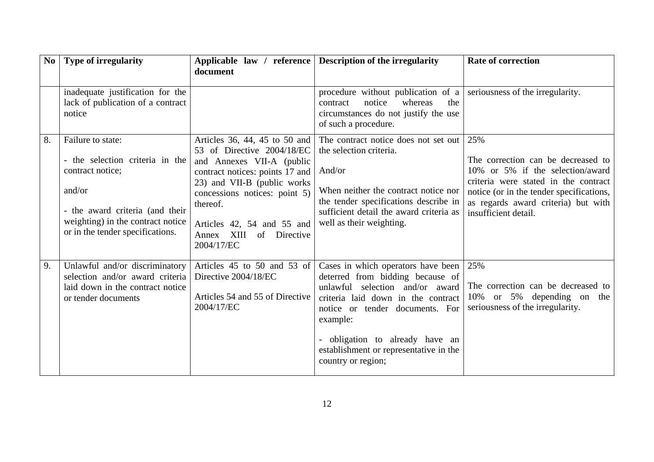| $\bf No$ | Type of irregularity                                                                                                                                                                           | document                                                                                                                                                                                                                                                                             | Applicable law / reference Description of the irregularity                                                                                                                                                                                                                                        | <b>Rate of correction</b>                                                                                                                                                                                                        |
|----------|------------------------------------------------------------------------------------------------------------------------------------------------------------------------------------------------|--------------------------------------------------------------------------------------------------------------------------------------------------------------------------------------------------------------------------------------------------------------------------------------|---------------------------------------------------------------------------------------------------------------------------------------------------------------------------------------------------------------------------------------------------------------------------------------------------|----------------------------------------------------------------------------------------------------------------------------------------------------------------------------------------------------------------------------------|
|          | inadequate justification for the<br>lack of publication of a contract<br>notice                                                                                                                |                                                                                                                                                                                                                                                                                      | procedure without publication of a<br>notice<br>whereas<br>the<br>contract<br>circumstances do not justify the use<br>of such a procedure.                                                                                                                                                        | seriousness of the irregularity.                                                                                                                                                                                                 |
| 8.       | Failure to state:<br>- the selection criteria in the<br>contract notice;<br>and/or<br>- the award criteria (and their<br>weighting) in the contract notice<br>or in the tender specifications. | Articles 36, 44, 45 to 50 and<br>53 of Directive 2004/18/EC<br>and Annexes VII-A (public<br>contract notices: points 17 and<br>23) and VII-B (public works<br>concessions notices: point 5)<br>thereof.<br>Articles 42, 54 and 55 and<br>XIII<br>of Directive<br>Annex<br>2004/17/EC | The contract notice does not set out<br>the selection criteria.<br>And/or<br>When neither the contract notice nor<br>the tender specifications describe in<br>sufficient detail the award criteria as<br>well as their weighting.                                                                 | 25%<br>The correction can be decreased to<br>10% or 5% if the selection/award<br>criteria were stated in the contract<br>notice (or in the tender specifications,<br>as regards award criteria) but with<br>insufficient detail. |
| 9.       | Unlawful and/or discriminatory<br>selection and/or award criteria<br>laid down in the contract notice<br>or tender documents                                                                   | Articles 45 to 50 and 53 of<br>Directive 2004/18/EC<br>Articles 54 and 55 of Directive<br>2004/17/EC                                                                                                                                                                                 | Cases in which operators have been<br>deterred from bidding because of<br>unlawful selection and/or award<br>criteria laid down in the contract<br>notice or tender documents. For<br>example:<br>- obligation to already have an<br>establishment or representative in the<br>country or region; | 25%<br>The correction can be decreased to<br>10% or 5% depending on the<br>seriousness of the irregularity.                                                                                                                      |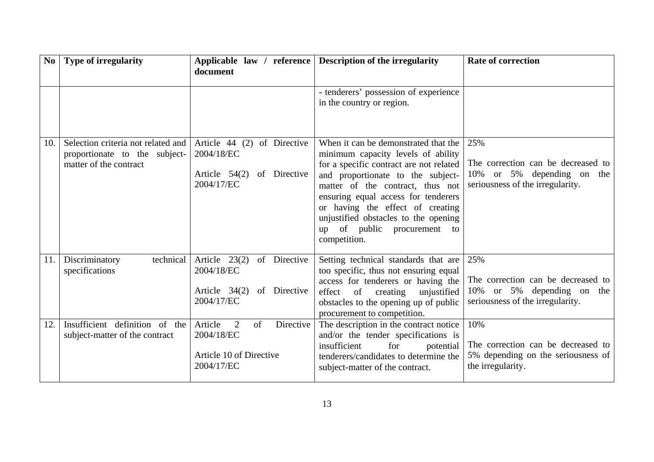| No  | <b>Type of irregularity</b>                                                                   | document                                                                                       | Applicable law / reference   Description of the irregularity                                                                                                                                                                                                                                                                                                     | <b>Rate of correction</b>                                                                                   |
|-----|-----------------------------------------------------------------------------------------------|------------------------------------------------------------------------------------------------|------------------------------------------------------------------------------------------------------------------------------------------------------------------------------------------------------------------------------------------------------------------------------------------------------------------------------------------------------------------|-------------------------------------------------------------------------------------------------------------|
|     |                                                                                               |                                                                                                | - tenderers' possession of experience<br>in the country or region.                                                                                                                                                                                                                                                                                               |                                                                                                             |
| 10. | Selection criteria not related and<br>proportionate to the subject-<br>matter of the contract | of Directive<br>Article $44$ (2)<br>2004/18/EC<br>Article 54(2) of Directive<br>2004/17/EC     | When it can be demonstrated that the<br>minimum capacity levels of ability<br>for a specific contract are not related<br>and proportionate to the subject-<br>matter of the contract, thus not<br>ensuring equal access for tenderers<br>or having the effect of creating<br>unjustified obstacles to the opening<br>up of public procurement to<br>competition. | 25%<br>The correction can be decreased to<br>10% or 5% depending on the<br>seriousness of the irregularity. |
| 11. | Discriminatory<br>technical<br>specifications                                                 | Article $23(2)$<br>of Directive<br>2004/18/EC<br>Article $34(2)$<br>of Directive<br>2004/17/EC | Setting technical standards that are<br>too specific, thus not ensuring equal<br>access for tenderers or having the<br>of<br>effect<br>creating<br>unjustified<br>obstacles to the opening up of public<br>procurement to competition.                                                                                                                           | 25%<br>The correction can be decreased to<br>10% or 5% depending on the<br>seriousness of the irregularity. |
| 12. | Insufficient definition of the<br>subject-matter of the contract                              | Article<br>2<br>of<br>Directive<br>2004/18/EC<br>Article 10 of Directive<br>2004/17/EC         | The description in the contract notice<br>and/or the tender specifications is<br>insufficient<br>for<br>potential<br>tenderers/candidates to determine the<br>subject-matter of the contract.                                                                                                                                                                    | 10%<br>The correction can be decreased to<br>5% depending on the seriousness of<br>the irregularity.        |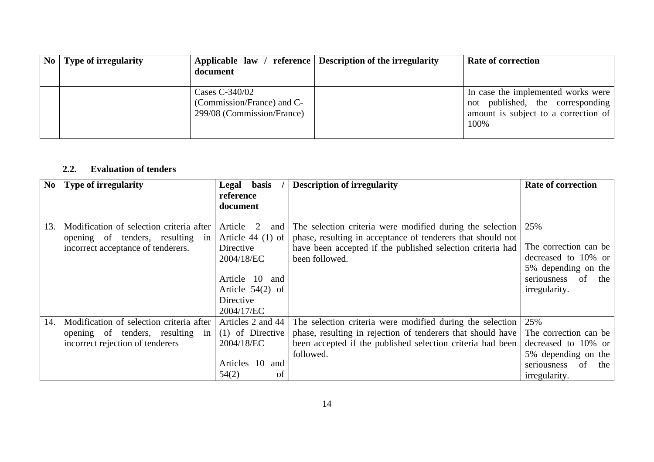| $\bf{No}$   Type of irregularity | document                                                                   | Applicable law / reference Description of the irregularity | <b>Rate of correction</b>                                                                                              |
|----------------------------------|----------------------------------------------------------------------------|------------------------------------------------------------|------------------------------------------------------------------------------------------------------------------------|
|                                  | Cases C-340/02<br>(Commission/France) and C-<br>299/08 (Commission/France) |                                                            | In case the implemented works were<br>not published, the corresponding<br>amount is subject to a correction of<br>100% |

#### **2.2.Evaluation of tenders**

<span id="page-13-0"></span>

| N <sub>0</sub> | <b>Type of irregularity</b>              | Legal basis                      | <b>Description of irregularity</b>                          | <b>Rate of correction</b> |
|----------------|------------------------------------------|----------------------------------|-------------------------------------------------------------|---------------------------|
|                |                                          | reference<br>document            |                                                             |                           |
| 13.            | Modification of selection criteria after | Article<br>$\overline{2}$<br>and | The selection criteria were modified during the selection   | 25%                       |
|                | opening of tenders, resulting in         | Article $44(1)$ of               | phase, resulting in acceptance of tenderers that should not |                           |
|                | incorrect acceptance of tenderers.       | Directive                        | have been accepted if the published selection criteria had  | The correction can be     |
|                |                                          | 2004/18/EC                       | been followed.                                              | decreased to 10% or       |
|                |                                          |                                  |                                                             | 5% depending on the       |
|                |                                          | Article 10 and                   |                                                             | seriousness of<br>the     |
|                |                                          | Article $54(2)$ of               |                                                             | irregularity.             |
|                |                                          | Directive                        |                                                             |                           |
|                |                                          | 2004/17/EC                       |                                                             |                           |
| 14.            | Modification of selection criteria after | Articles 2 and 44                | The selection criteria were modified during the selection   | 25%                       |
|                | opening of tenders, resulting in         | $(1)$ of Directive               | phase, resulting in rejection of tenderers that should have | The correction can be     |
|                | incorrect rejection of tenderers         | 2004/18/EC                       | been accepted if the published selection criteria had been  | decreased to 10% or       |
|                |                                          |                                  | followed.                                                   | 5% depending on the       |
|                |                                          | Articles 10 and                  |                                                             | of<br>seriousness<br>the  |
|                |                                          | 54(2)<br>of                      |                                                             | irregularity.             |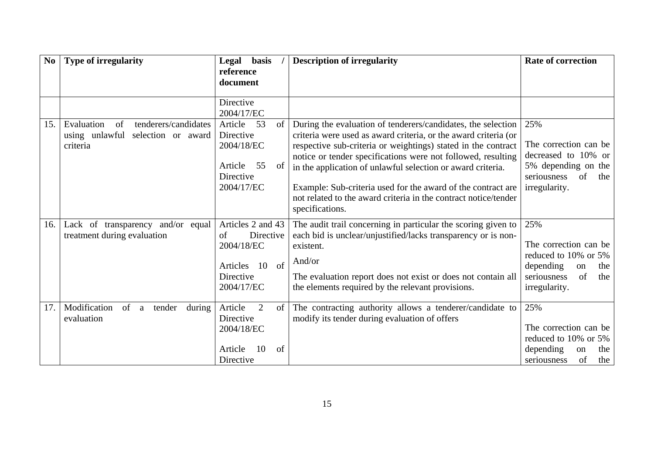| N <sub>0</sub> | <b>Type of irregularity</b>                                                               | Legal basis<br>reference                                                                           | <b>Description of irregularity</b>                                                                                                                                                                                                                                                                                                                                                                                                                                                    | <b>Rate of correction</b>                                                                                                           |
|----------------|-------------------------------------------------------------------------------------------|----------------------------------------------------------------------------------------------------|---------------------------------------------------------------------------------------------------------------------------------------------------------------------------------------------------------------------------------------------------------------------------------------------------------------------------------------------------------------------------------------------------------------------------------------------------------------------------------------|-------------------------------------------------------------------------------------------------------------------------------------|
|                |                                                                                           | document                                                                                           |                                                                                                                                                                                                                                                                                                                                                                                                                                                                                       |                                                                                                                                     |
|                |                                                                                           | Directive<br>2004/17/EC                                                                            |                                                                                                                                                                                                                                                                                                                                                                                                                                                                                       |                                                                                                                                     |
| 15.            | Evaluation<br>tenderers/candidates<br>of<br>using unlawful selection or award<br>criteria | 53<br>Article<br>of<br>Directive<br>2004/18/EC<br>55<br>Article<br>of<br>Directive<br>2004/17/EC   | During the evaluation of tenderers/candidates, the selection<br>criteria were used as award criteria, or the award criteria (or<br>respective sub-criteria or weightings) stated in the contract<br>notice or tender specifications were not followed, resulting<br>in the application of unlawful selection or award criteria.<br>Example: Sub-criteria used for the award of the contract are<br>not related to the award criteria in the contract notice/tender<br>specifications. | 25%<br>The correction can be<br>decreased to 10% or<br>5% depending on the<br><sub>of</sub><br>seriousness<br>the<br>irregularity.  |
| 16.            | Lack of transparency<br>and/or equal<br>treatment during evaluation                       | Articles 2 and 43<br>Directive<br>of<br>2004/18/EC<br>of<br>Articles 10<br>Directive<br>2004/17/EC | The audit trail concerning in particular the scoring given to<br>each bid is unclear/unjustified/lacks transparency or is non-<br>existent.<br>And/or<br>The evaluation report does not exist or does not contain all<br>the elements required by the relevant provisions.                                                                                                                                                                                                            | 25%<br>The correction can be<br>reduced to 10% or 5%<br>depending<br>the<br>on<br>$\sigma$ f<br>seriousness<br>the<br>irregularity. |
| 17.            | Modification<br>of<br>tender<br>during<br>a<br>evaluation                                 | Article<br>2<br>of<br>Directive<br>2004/18/EC<br>of<br>10<br>Article<br>Directive                  | The contracting authority allows a tenderer/candidate to<br>modify its tender during evaluation of offers                                                                                                                                                                                                                                                                                                                                                                             | 25%<br>The correction can be<br>reduced to 10% or 5%<br>depending<br>the<br>on<br>of<br>seriousness<br>the                          |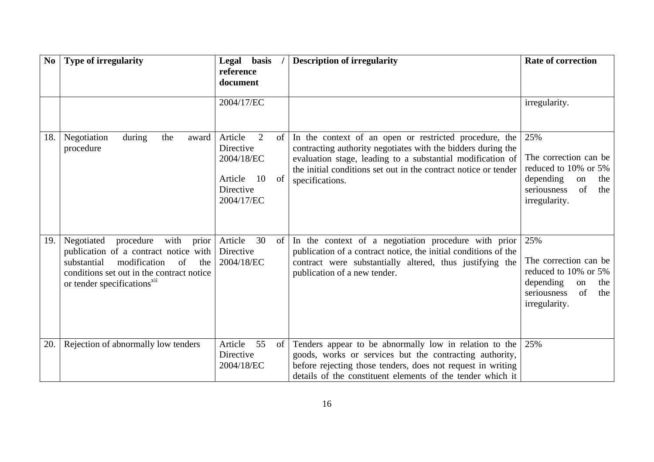| N <sub>0</sub> | <b>Type of irregularity</b>                                                                                                                                                                                           | Legal basis<br>reference<br>document                                                            | <b>Description of irregularity</b>                                                                                                                                                                                                                                         | <b>Rate of correction</b>                                                                                                   |
|----------------|-----------------------------------------------------------------------------------------------------------------------------------------------------------------------------------------------------------------------|-------------------------------------------------------------------------------------------------|----------------------------------------------------------------------------------------------------------------------------------------------------------------------------------------------------------------------------------------------------------------------------|-----------------------------------------------------------------------------------------------------------------------------|
|                |                                                                                                                                                                                                                       | 2004/17/EC                                                                                      |                                                                                                                                                                                                                                                                            | irregularity.                                                                                                               |
| 18.            | Negotiation<br>during<br>the<br>award<br>procedure                                                                                                                                                                    | Article<br>2<br>of<br>Directive<br>2004/18/EC<br>Article<br>10<br>of<br>Directive<br>2004/17/EC | In the context of an open or restricted procedure, the<br>contracting authority negotiates with the bidders during the<br>evaluation stage, leading to a substantial modification of<br>the initial conditions set out in the contract notice or tender<br>specifications. | 25%<br>The correction can be<br>reduced to 10% or 5%<br>depending<br>on<br>the<br>of<br>seriousness<br>the<br>irregularity. |
| 19.            | Negotiated<br>procedure<br>with<br>prior<br>publication of a contract notice with<br>modification<br>of<br>substantial<br>the<br>conditions set out in the contract notice<br>or tender specifications <sup>x11</sup> | 30<br>Article<br>of<br>Directive<br>2004/18/EC                                                  | In the context of a negotiation procedure with prior<br>publication of a contract notice, the initial conditions of the<br>contract were substantially altered, thus justifying the<br>publication of a new tender.                                                        | 25%<br>The correction can be<br>reduced to 10% or 5%<br>depending<br>the<br>on<br>seriousness<br>of<br>the<br>irregularity. |
| 20.            | Rejection of abnormally low tenders                                                                                                                                                                                   | Article<br>55<br>of<br>Directive<br>2004/18/EC                                                  | Tenders appear to be abnormally low in relation to the<br>goods, works or services but the contracting authority,<br>before rejecting those tenders, does not request in writing<br>details of the constituent elements of the tender which it                             | 25%                                                                                                                         |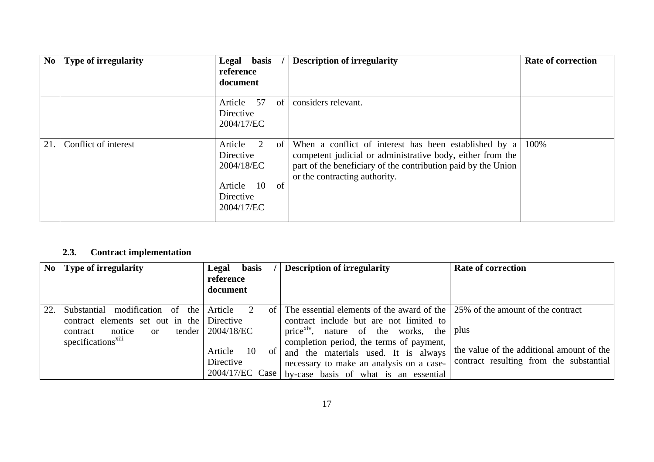| No  | Type of irregularity | Legal basis<br>reference<br>document                                                   | <b>Description of irregularity</b>                                                                                                                                                                                       | <b>Rate of correction</b> |
|-----|----------------------|----------------------------------------------------------------------------------------|--------------------------------------------------------------------------------------------------------------------------------------------------------------------------------------------------------------------------|---------------------------|
|     |                      | Article 57<br><sub>of</sub><br>Directive<br>2004/17/EC                                 | considers relevant.                                                                                                                                                                                                      |                           |
| 21. | Conflict of interest | Article<br>2<br>Directive<br>2004/18/EC<br>Article 10<br>of<br>Directive<br>2004/17/EC | of When a conflict of interest has been established by a<br>competent judicial or administrative body, either from the<br>part of the beneficiary of the contribution paid by the Union<br>or the contracting authority. | 100%                      |

#### **2.3.Contract implementation**

<span id="page-16-0"></span>

|     | $\bf{No}$   Type of irregularity                                                                                                                          | <b>basis</b><br>Legal<br>reference<br>document                    | <b>Description of irregularity</b>                                                                                                                                                                                                                                                                                                                                                  | <b>Rate of correction</b>                                                            |
|-----|-----------------------------------------------------------------------------------------------------------------------------------------------------------|-------------------------------------------------------------------|-------------------------------------------------------------------------------------------------------------------------------------------------------------------------------------------------------------------------------------------------------------------------------------------------------------------------------------------------------------------------------------|--------------------------------------------------------------------------------------|
| 22. | modification of the Article<br>Substantial<br>contract elements set out in the Directive<br>contract notice<br>$\alpha$<br>specifications <sup>xiii</sup> | $\alpha$ f<br>tender   $2004/18/EC$<br>Article<br>10<br>Directive | The essential elements of the award of the 25% of the amount of the contract<br>contract include but are not limited to<br>price $x_i$ <sup>xiv</sup> , nature of the works, the plus<br>completion period, the terms of payment,<br>of and the materials used. It is always<br>necessary to make an analysis on a case-<br>$2004/17/EC$ Case by-case basis of what is an essential | the value of the additional amount of the<br>contract resulting from the substantial |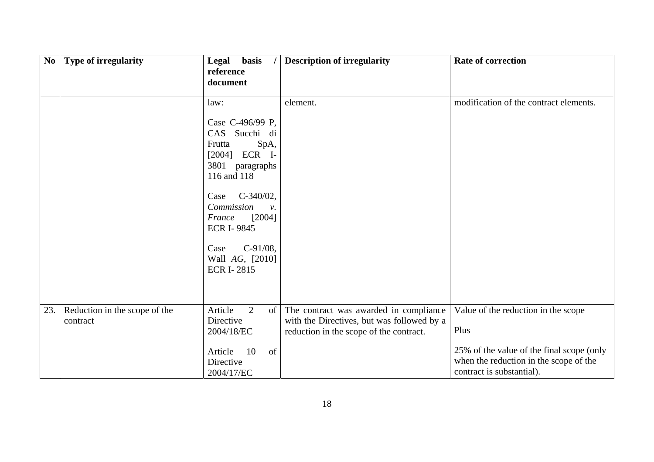| $\mathbf{N}\mathbf{0}$ | <b>Type of irregularity</b>               | basis<br>Legal<br>reference<br>document                                                                                                                                                                                                                                           | <b>Description of irregularity</b>                                                                                              | <b>Rate of correction</b>                                                                                                                                       |
|------------------------|-------------------------------------------|-----------------------------------------------------------------------------------------------------------------------------------------------------------------------------------------------------------------------------------------------------------------------------------|---------------------------------------------------------------------------------------------------------------------------------|-----------------------------------------------------------------------------------------------------------------------------------------------------------------|
|                        |                                           | law:<br>Case C-496/99 P,<br>CAS Succhi di<br>SpA,<br>Frutta<br>$[2004]$ ECR I-<br>3801 paragraphs<br>116 and 118<br>$C-340/02$ ,<br>Case<br>Commission<br>$\mathcal{V}$ .<br>[2004]<br>France<br><b>ECR I-9845</b><br>$C-91/08$ ,<br>Case<br>Wall AG, [2010]<br><b>ECR I-2815</b> | element.                                                                                                                        | modification of the contract elements.                                                                                                                          |
| 23.                    | Reduction in the scope of the<br>contract | Article<br>2<br>of  <br>Directive<br>2004/18/EC<br>10<br>of<br>Article<br>Directive<br>2004/17/EC                                                                                                                                                                                 | The contract was awarded in compliance<br>with the Directives, but was followed by a<br>reduction in the scope of the contract. | Value of the reduction in the scope<br>Plus<br>25% of the value of the final scope (only<br>when the reduction in the scope of the<br>contract is substantial). |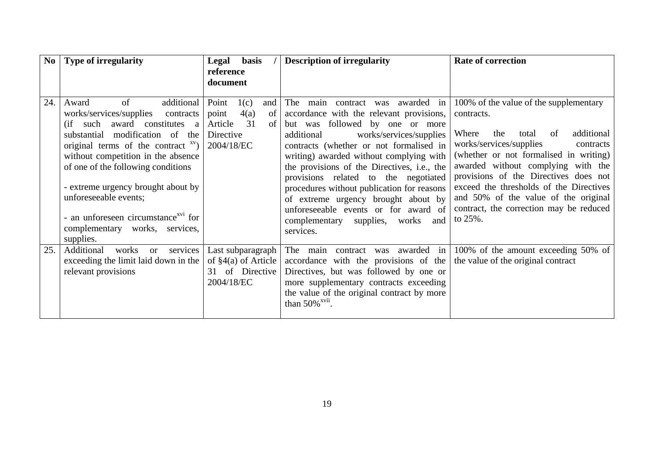| N <sub>0</sub> | <b>Type of irregularity</b>                                                                                                                                                                                                                                                                                                                                                                                                   | <b>basis</b><br>Legal<br>reference                                                            | <b>Description of irregularity</b>                                                                                                                                                                                                                                                                                                                                                                                                                                                                                         | <b>Rate of correction</b>                                                                                                                                                                                                                                                                                                                                                                                       |
|----------------|-------------------------------------------------------------------------------------------------------------------------------------------------------------------------------------------------------------------------------------------------------------------------------------------------------------------------------------------------------------------------------------------------------------------------------|-----------------------------------------------------------------------------------------------|----------------------------------------------------------------------------------------------------------------------------------------------------------------------------------------------------------------------------------------------------------------------------------------------------------------------------------------------------------------------------------------------------------------------------------------------------------------------------------------------------------------------------|-----------------------------------------------------------------------------------------------------------------------------------------------------------------------------------------------------------------------------------------------------------------------------------------------------------------------------------------------------------------------------------------------------------------|
|                |                                                                                                                                                                                                                                                                                                                                                                                                                               | document                                                                                      |                                                                                                                                                                                                                                                                                                                                                                                                                                                                                                                            |                                                                                                                                                                                                                                                                                                                                                                                                                 |
| 24.            | of<br>additional<br>Award<br>works/services/supplies<br>contracts<br>(if such award constitutes a<br>modification of the<br>substantial<br>original terms of the contract $xv$ )<br>without competition in the absence<br>of one of the following conditions<br>- extreme urgency brought about by<br>unforeseeable events;<br>- an unforeseen circumstance <sup>xv1</sup> for<br>complementary works, services,<br>supplies. | Point<br>1(c)<br>and<br>point<br>4(a)<br>of<br>31<br>Article<br>of<br>Directive<br>2004/18/EC | contract was awarded in<br>The<br>main<br>accordance with the relevant provisions,<br>but was followed by one or more<br>works/services/supplies<br>additional<br>contracts (whether or not formalised in<br>writing) awarded without complying with<br>the provisions of the Directives, i.e., the<br>provisions related to the negotiated<br>procedures without publication for reasons<br>of extreme urgency brought about by<br>unforeseeable events or for award of<br>complementary supplies, works and<br>services. | 100% of the value of the supplementary<br>contracts.<br>additional<br>Where<br>the<br>total<br>of<br>works/services/supplies<br>contracts<br>(whether or not formalised in writing)<br>awarded without complying with the<br>provisions of the Directives does not<br>exceed the thresholds of the Directives<br>and 50% of the value of the original<br>contract, the correction may be reduced<br>to $25\%$ . |
| 25.            | services<br>Additional<br>works<br><b>or</b><br>exceeding the limit laid down in the<br>relevant provisions                                                                                                                                                                                                                                                                                                                   | Last subparagraph<br>of $\S4(a)$ of Article<br>31 of Directive<br>2004/18/EC                  | The main contract was awarded in<br>accordance with the provisions of the<br>Directives, but was followed by one or<br>more supplementary contracts exceeding<br>the value of the original contract by more<br>than $50\%$ <sup>xvii</sup> .                                                                                                                                                                                                                                                                               | 100% of the amount exceeding 50% of<br>the value of the original contract                                                                                                                                                                                                                                                                                                                                       |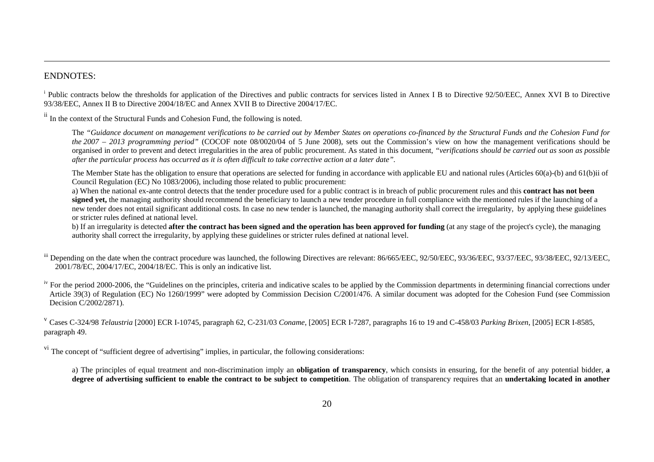### ENDNOTES:

<sup>i</sup> Public contracts below the thresholds for application of the Directives and public contracts for services listed in Annex I B to Directive 92/50/EEC, Annex XVI B to Directive 93/38/EEC, Annex II B to Directive 2004/18/EC and Annex XVII B to Directive 2004/17/EC.

ii In the context of the Structural Funds and Cohesion Fund, the following is noted.

The *"Guidance document on management verifications to be carried out by Member States on operations co-financed by the Structural Funds and the Cohesion Fund for the 2007 – 2013 programming period"* (COCOF note 08/0020/04 of 5 June 2008), sets out the Commission's view on how the management verifications should be organised in order to prevent and detect irregularities in the area of public procurement. As stated in this document, *"verifications should be carried out as soon as possible after the particular process has occurred as it is often difficult to take corrective action at a later date"*.

The Member State has the obligation to ensure that operations are selected for funding in accordance with applicable EU and national rules (Articles 60(a)-(b) and 61(b)ii of Council Regulation (EC) No 1083/2006), including those related to public procurement:

a) When the national ex-ante control detects that the tender procedure used for a public contract is in breach of public procurement rules and this **contract has not been signed yet,** the managing authority should recommend the beneficiary to launch a new tender procedure in full compliance with the mentioned rules if the launching of a new tender does not entail significant additional costs. In case no new tender is launched, the managing authority shall correct the irregularity, by applying these guidelines or stricter rules defined at national level.

b) If an irregularity is detected **after the contract has been signed and the operation has been approved for funding** (at any stage of the project's cycle), the managing authority shall correct the irregularity, by applying these guidelines or stricter rules defined at national level.

iii Depending on the date when the contract procedure was launched, the following Directives are relevant: 86/665/EEC, 92/50/EEC, 93/36/EEC, 93/37/EEC, 93/38/EEC, 92/13/EEC, 2001/78/EC, 2004/17/EC, 2004/18/EC. This is only an indicative list.

<sup>iv</sup> For the period 2000-2006, the "Guidelines on the principles, criteria and indicative scales to be applied by the Commission departments in determining financial corrections under Article 39(3) of Regulation (EC) No 1260/1999" were adopted by Commission Decision C/2001/476. A similar document was adopted for the Cohesion Fund (see Commission Decision C/2002/2871).

v Cases C-324/98 *Telaustria* [2000] ECR I-10745, paragraph 62, C-231/03 *Coname*, [2005] ECR I-7287, paragraphs 16 to 19 and C-458/03 *Parking Brixen*, [2005] ECR I-8585, paragraph 49.

<sup>vi</sup> The concept of "sufficient degree of advertising" implies, in particular, the following considerations:

a) The principles of equal treatment and non-discrimination imply an **obligation of transparency**, which consists in ensuring, for the benefit of any potential bidder, **<sup>a</sup> degree of advertising sufficient to enable the contract to be subject to competition**. The obligation of transparency requires that an **undertaking located in another**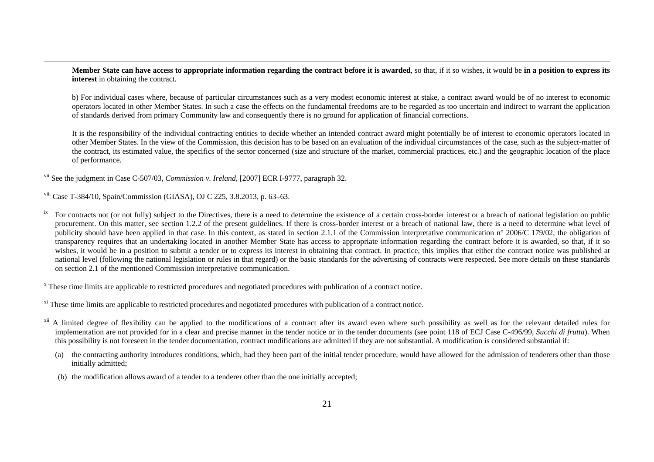**Member State can have access to appropriate information regarding the contract before it is awarded**, so that, if it so wishes, it would be **in a position to express its interest** in obtaining the contract.

b) For individual cases where, because of particular circumstances such as a very modest economic interest at stake, a contract award would be of no interest to economic operators located in other Member States. In such a case the effects on the fundamental freedoms are to be regarded as too uncertain and indirect to warrant the application of standards derived from primary Community law and consequently there is no ground for application of financial corrections.

It is the responsibility of the individual contracting entities to decide whether an intended contract award might potentially be of interest to economic operators located in other Member States. In the view of the Commission, this decision has to be based on an evaluation of the individual circumstances of the case, such as the subject-matter of the contract, its estimated value, the specifics of the sector concerned (size and structure of the market, commercial practices, etc.) and the geographic location of the place of performance.

vii See the judgment in Case C-507/03, *Commission v. Ireland*, [2007] ECR I-9777, paragraph 32.

viii Case T-384/10, Spain/Commission (GIASA), OJ C 225, 3.8.2013, p. 63–63.

<sup>ix</sup> For contracts not (or not fully) subject to the Directives, there is a need to determine the existence of a certain cross-border interest or a breach of national legislation on public procurement. On this matter, see section 1.2.2 of the present guidelines. If there is cross-border interest or a breach of national law, there is a need to determine what level of publicity should have been applied in that case. In this context, as stated in section 2.1.1 of the Commission interpretative communication n° 2006/C 179/02, the obligation of transparency requires that an undertaking located in another Member State has access to appropriate information regarding the contract before it is awarded, so that, if it so wishes, it would be in a position to submit a tender or to express its interest in obtaining that contract. In practice, this implies that either the contract notice was published at national level (following the national legislation or rules in that regard) or the basic standards for the advertising of contracts were respected. See more details on these standards on section 2.1 of the mentioned Commission interpretative communication.

<sup>x</sup> These time limits are applicable to restricted procedures and negotiated procedures with publication of a contract notice.

<sup>xi</sup> These time limits are applicable to restricted procedures and negotiated procedures with publication of a contract notice.

<sup>xii</sup> A limited degree of flexibility can be applied to the modifications of a contract after its award even where such possibility as well as for the relevant detailed rules for implementation are not provided for in a clear and precise manner in the tender notice or in the tender documents (see point 118 of ECJ Case C-496/99, *Succhi di frutta*). When this possibility is not foreseen in the tender documentation, contract modifications are admitted if they are not substantial. A modification is considered substantial if:

(a) the contracting authority introduces conditions, which, had they been part of the initial tender procedure, would have allowed for the admission of tenderers other than those initially admitted;

(b) the modification allows award of a tender to a tenderer other than the one initially accepted;